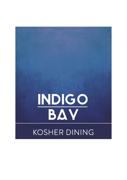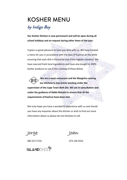## KOSHER MENU

## *by Indigo Bay*

**Our Kosher Kitchen is now permanent and will be open during all school holidays and on request during other times of the year.**

It gives us great pleasure to have you dine with us. We have created a menu for you in accordance with the laws of Kashrut all the while ensuring that each dish is flavourful and of the highest standard. We have sourced fresh local ingredients and have also bought in 100% kosher products to use in the creating of these dishes.

**We are a meat restaurant and the Masgicha running our kitchens is Joan Estrin working under the supervision of the Cape Town Beth Din. We are in consultation and under the guidance of Rabbi Maizels to ensure that all the requirements of Kashrut have been met.**

We truly hope you have a wonderful experience with us and should you have any enquiries about the kitchen or wish to find out more information about us please do not hesitate to call.

**Jorge Joan**

083 327 5724 073 140 5553

**ISLANDDINER<sup>"</sup>**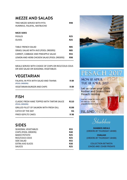## MEZZE AND SALADS

TRIO MEZZE SERVED WITH PITA **R98** HUMMUS, FALAFAL, MATBUCHO

#### **MEZE SIDES**

| <b>PICKLES</b>                             | <b>R25</b> |  |
|--------------------------------------------|------------|--|
| <b>OLIVES</b>                              | <b>R25</b> |  |
|                                            |            |  |
| <b>TABLE FRENCH SALAD</b>                  | <b>R85</b> |  |
| ISRAELI SALAD WITH AVO (POOL ORDERS)       | <b>R85</b> |  |
| CARROT, CABBAGE AND PINEAPPLE SALAD        | <b>R55</b> |  |
| LEMON AND HERB CHICKEN SALAD (POOL ORDERS) | <b>R98</b> |  |
|                                            |            |  |

MEALS SERVED WITH CHOICE OF CHIPS OR RICE/COUS COUS OR SIDE SALAD OR SEASONAL VEGETABLES

## VEGETARIAN

| FALAFAL IN PITA WITH SALAD AND TAHINA<br>(POOL ORDERS) | R 89 |  |
|--------------------------------------------------------|------|--|
| <b>VEGETARIAN BURGER AND CHIPS</b>                     | R 89 |  |
|                                                        |      |  |

## FISH

| CLASSIC FRESH HAKE TOPPED WITH TARTAR SAUCE<br>(POOL ORDERS) | <b>R110</b>      | on 08<br>jorger |
|--------------------------------------------------------------|------------------|-----------------|
| <b>GRILLED FILLET OF SALMON WITH FRESH DILL</b>              | R <sub>198</sub> |                 |
| <b>CATCH OF THE DAY</b>                                      | <b>SQ</b>        |                 |
| <b>FRIED GEFILTE CAKES</b>                                   | R 98             |                 |
|                                                              |                  |                 |

## SIDES

| <b>SEASONAL VEGETABLES</b> | <b>R55</b> |  |
|----------------------------|------------|--|
| CHIPS (POOL ORDERS)        | <b>R40</b> |  |
| <b>BAKED POTATO</b>        | <b>R25</b> |  |
| RICE/COUS COUS             | <b>R25</b> |  |
| <b>SIDE SALAD</b>          | <b>R55</b> |  |
| <b>EXTRA AVO SLICES</b>    | <b>R30</b> |  |
| <b>SAUCES</b>              | <b>R25</b> |  |
|                            |            |  |



# **PESACH 2017**

**Pesach Holiday** 

Contact Jorge for more info



**SHABBOS MEALS** (ORDERS BY THURSDAY 14H00)

**CHALLAH** (ORDERS BY THURSDAY 14H00)

COLLECTION BETWEEN 13HOO AND 15H00 FRIDAYS